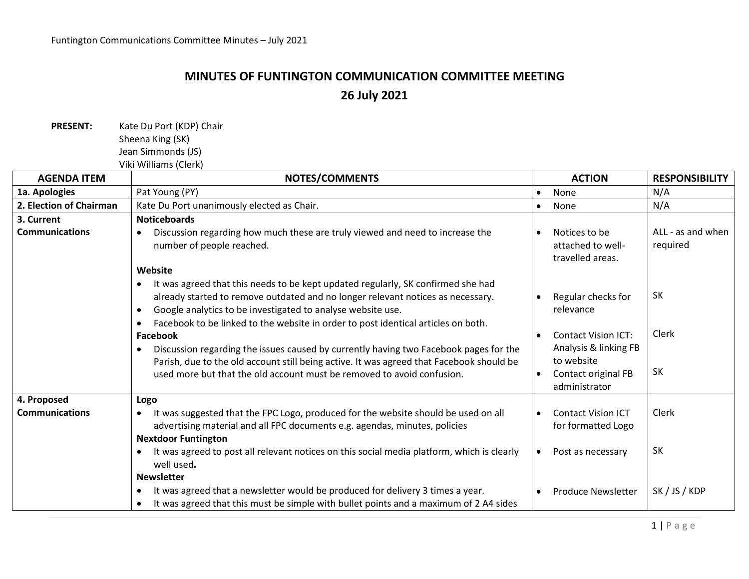## **MINUTES OF FUNTINGTON COMMUNICATION COMMITTEE MEETING 26 July 2021**

PRESENT: Kate Du Port (KDP) Chair Sheena King (SK) Jean Simmonds (JS) Viki Williams (Clerk)

| <b>AGENDA ITEM</b>      | <b>NOTES/COMMENTS</b>                                                                                                                                                                                                                                                                                                   | <b>ACTION</b>                                                                            | <b>RESPONSIBILITY</b>         |
|-------------------------|-------------------------------------------------------------------------------------------------------------------------------------------------------------------------------------------------------------------------------------------------------------------------------------------------------------------------|------------------------------------------------------------------------------------------|-------------------------------|
| 1a. Apologies           | Pat Young (PY)                                                                                                                                                                                                                                                                                                          | None<br>$\bullet$                                                                        | N/A                           |
| 2. Election of Chairman | Kate Du Port unanimously elected as Chair.                                                                                                                                                                                                                                                                              | None<br>$\bullet$                                                                        | N/A                           |
| 3. Current              | <b>Noticeboards</b>                                                                                                                                                                                                                                                                                                     |                                                                                          |                               |
| <b>Communications</b>   | Discussion regarding how much these are truly viewed and need to increase the<br>number of people reached.                                                                                                                                                                                                              | Notices to be<br>$\bullet$<br>attached to well-<br>travelled areas.                      | ALL - as and when<br>required |
|                         | Website                                                                                                                                                                                                                                                                                                                 |                                                                                          |                               |
|                         | It was agreed that this needs to be kept updated regularly, SK confirmed she had<br>already started to remove outdated and no longer relevant notices as necessary.<br>Google analytics to be investigated to analyse website use.<br>Facebook to be linked to the website in order to post identical articles on both. | Regular checks for<br>relevance                                                          | <b>SK</b>                     |
|                         | Facebook                                                                                                                                                                                                                                                                                                                | <b>Contact Vision ICT:</b><br>$\bullet$                                                  | Clerk                         |
|                         | Discussion regarding the issues caused by currently having two Facebook pages for the<br>Parish, due to the old account still being active. It was agreed that Facebook should be<br>used more but that the old account must be removed to avoid confusion.                                                             | Analysis & linking FB<br>to website<br>Contact original FB<br>$\bullet$<br>administrator | SK                            |
| 4. Proposed             | Logo                                                                                                                                                                                                                                                                                                                    |                                                                                          |                               |
| <b>Communications</b>   | It was suggested that the FPC Logo, produced for the website should be used on all<br>$\bullet$<br>advertising material and all FPC documents e.g. agendas, minutes, policies                                                                                                                                           | <b>Contact Vision ICT</b><br>$\bullet$<br>for formatted Logo                             | Clerk                         |
|                         | <b>Nextdoor Funtington</b><br>It was agreed to post all relevant notices on this social media platform, which is clearly                                                                                                                                                                                                |                                                                                          | SK                            |
|                         | well used.                                                                                                                                                                                                                                                                                                              | Post as necessary<br>$\bullet$                                                           |                               |
|                         | <b>Newsletter</b>                                                                                                                                                                                                                                                                                                       |                                                                                          |                               |
|                         | It was agreed that a newsletter would be produced for delivery 3 times a year.<br>It was agreed that this must be simple with bullet points and a maximum of 2 A4 sides<br>$\bullet$                                                                                                                                    | <b>Produce Newsletter</b><br>$\bullet$                                                   | SK / JS / KDP                 |